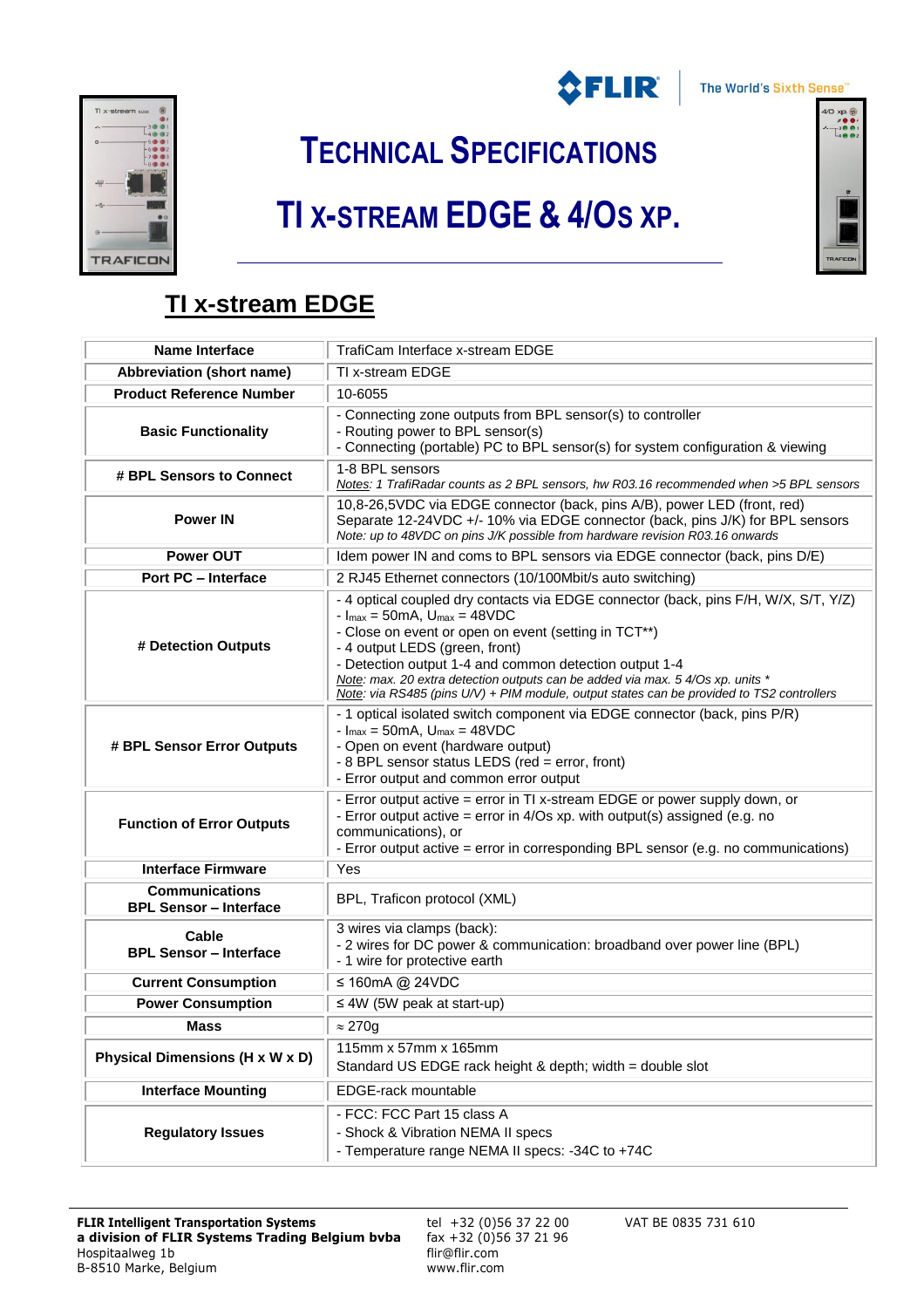



**TECHNICAL SPECIFICATIONS**

## **TI X-STREAM EDGE & 4/OS XP.**



## **TI x-stream EDGE**

| <b>Name Interface</b>                                  | TrafiCam Interface x-stream EDGE                                                                                                                                                                                                                                                                                                                                                                                                                                                                          |
|--------------------------------------------------------|-----------------------------------------------------------------------------------------------------------------------------------------------------------------------------------------------------------------------------------------------------------------------------------------------------------------------------------------------------------------------------------------------------------------------------------------------------------------------------------------------------------|
| Abbreviation (short name)                              | TI x-stream EDGE                                                                                                                                                                                                                                                                                                                                                                                                                                                                                          |
| <b>Product Reference Number</b>                        | 10-6055                                                                                                                                                                                                                                                                                                                                                                                                                                                                                                   |
| <b>Basic Functionality</b>                             | - Connecting zone outputs from BPL sensor(s) to controller<br>- Routing power to BPL sensor(s)<br>- Connecting (portable) PC to BPL sensor(s) for system configuration & viewing                                                                                                                                                                                                                                                                                                                          |
| # BPL Sensors to Connect                               | 1-8 BPL sensors<br>Notes: 1 TrafiRadar counts as 2 BPL sensors, hw R03.16 recommended when >5 BPL sensors                                                                                                                                                                                                                                                                                                                                                                                                 |
| <b>Power IN</b>                                        | 10,8-26,5VDC via EDGE connector (back, pins A/B), power LED (front, red)<br>Separate 12-24VDC +/- 10% via EDGE connector (back, pins J/K) for BPL sensors<br>Note: up to 48VDC on pins J/K possible from hardware revision R03.16 onwards                                                                                                                                                                                                                                                                 |
| <b>Power OUT</b>                                       | Idem power IN and coms to BPL sensors via EDGE connector (back, pins D/E)                                                                                                                                                                                                                                                                                                                                                                                                                                 |
| <b>Port PC - Interface</b>                             | 2 RJ45 Ethernet connectors (10/100Mbit/s auto switching)                                                                                                                                                                                                                                                                                                                                                                                                                                                  |
| # Detection Outputs                                    | - 4 optical coupled dry contacts via EDGE connector (back, pins F/H, W/X, S/T, Y/Z)<br>$- \text{I}_{\text{max}} = 50 \text{mA}, \text{U}_{\text{max}} = 48 \text{VDC}$<br>- Close on event or open on event (setting in TCT**)<br>- 4 output LEDS (green, front)<br>- Detection output 1-4 and common detection output 1-4<br>Note: max. 20 extra detection outputs can be added via max. 5 4/Os xp. units *<br>Note: via RS485 (pins U/V) + PIM module, output states can be provided to TS2 controllers |
| # BPL Sensor Error Outputs                             | - 1 optical isolated switch component via EDGE connector (back, pins P/R)<br>$-I_{\text{max}} = 50 \text{mA}, U_{\text{max}} = 48 \text{VDC}$<br>- Open on event (hardware output)<br>- 8 BPL sensor status LEDS (red = error, front)<br>- Error output and common error output                                                                                                                                                                                                                           |
| <b>Function of Error Outputs</b>                       | - Error output active = error in TI x-stream EDGE or power supply down, or<br>- Error output active = $error in 4/Os xp.$ with output(s) assigned (e.g. no<br>communications), or<br>- Error output active = error in corresponding BPL sensor (e.g. no communications)                                                                                                                                                                                                                                   |
| <b>Interface Firmware</b>                              | Yes                                                                                                                                                                                                                                                                                                                                                                                                                                                                                                       |
| <b>Communications</b><br><b>BPL Sensor - Interface</b> | BPL, Traficon protocol (XML)                                                                                                                                                                                                                                                                                                                                                                                                                                                                              |
| Cable<br><b>BPL Sensor - Interface</b>                 | 3 wires via clamps (back):<br>- 2 wires for DC power & communication: broadband over power line (BPL)<br>- 1 wire for protective earth                                                                                                                                                                                                                                                                                                                                                                    |
| <b>Current Consumption</b>                             | ≤ 160mA @ 24VDC                                                                                                                                                                                                                                                                                                                                                                                                                                                                                           |
| <b>Power Consumption</b>                               | $\leq$ 4W (5W peak at start-up)                                                                                                                                                                                                                                                                                                                                                                                                                                                                           |
| <b>Mass</b>                                            | $\approx$ 270g                                                                                                                                                                                                                                                                                                                                                                                                                                                                                            |
| Physical Dimensions (H x W x D)                        | 115mm x 57mm x 165mm<br>Standard US EDGE rack height & depth; width = double slot                                                                                                                                                                                                                                                                                                                                                                                                                         |
| <b>Interface Mounting</b>                              | EDGE-rack mountable                                                                                                                                                                                                                                                                                                                                                                                                                                                                                       |
| <b>Regulatory Issues</b>                               | - FCC: FCC Part 15 class A<br>- Shock & Vibration NEMA II specs<br>- Temperature range NEMA II specs: -34C to +74C                                                                                                                                                                                                                                                                                                                                                                                        |